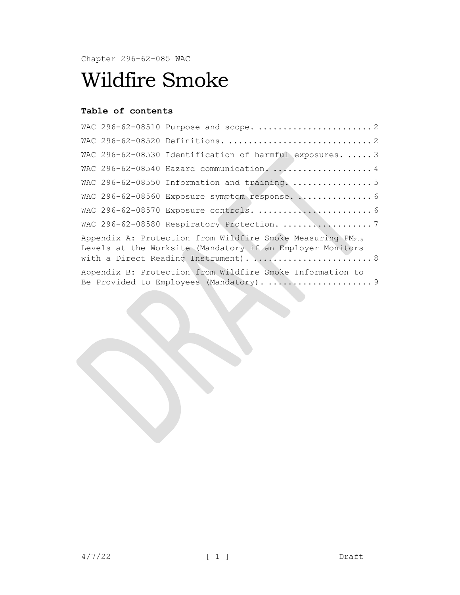Chapter 296-62-085 WAC

# Wildfire Smoke

## **Table of contents**

|                                                                                                                                                                              |  | WAC 296-62-08530 Identification of harmful exposures.  3 |  |  |
|------------------------------------------------------------------------------------------------------------------------------------------------------------------------------|--|----------------------------------------------------------|--|--|
|                                                                                                                                                                              |  | WAC 296-62-08540 Hazard communication.  4                |  |  |
|                                                                                                                                                                              |  | WAC 296-62-08550 Information and training.  5            |  |  |
|                                                                                                                                                                              |  | WAC 296-62-08560 Exposure symptom response.  6           |  |  |
|                                                                                                                                                                              |  |                                                          |  |  |
|                                                                                                                                                                              |  |                                                          |  |  |
| Appendix A: Protection from Wildfire Smoke Measuring PM <sub>2.5</sub><br>Levels at the Worksite (Mandatory if an Employer Monitors<br>with a Direct Reading Instrument).  8 |  |                                                          |  |  |
| Appendix B: Protection from Wildfire Smoke Information to                                                                                                                    |  |                                                          |  |  |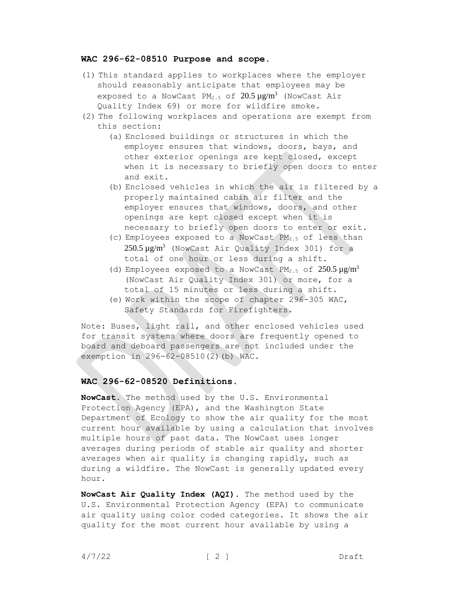#### <span id="page-1-0"></span>**WAC 296-62-08510 Purpose and scope.**

- (1) This standard applies to workplaces where the employer should reasonably anticipate that employees may be exposed to a NowCast PM<sub>2.5</sub> of  $20.5 \,\mu$ g/m<sup>3</sup> (NowCast Air Quality Index 69) or more for wildfire smoke.
- (2) The following workplaces and operations are exempt from this section:
	- (a) Enclosed buildings or structures in which the employer ensures that windows, doors, bays, and other exterior openings are kept closed, except when it is necessary to briefly open doors to enter and exit.
	- (b) Enclosed vehicles in which the air is filtered by a properly maintained cabin air filter and the employer ensures that windows, doors, and other openings are kept closed except when it is necessary to briefly open doors to enter or exit.
	- (c) Employees exposed to a NowCast PM2.5 of less than 250.5 µg/m<sup>3</sup> (NowCast Air Quality Index 301) for a total of one hour or less during a shift.
	- (d) Employees exposed to a NowCast PM<sub>2.5</sub> of  $250.5 \,\mu$ g/m<sup>3</sup> (NowCast Air Quality Index 301) or more, for a total of 15 minutes or less during a shift.
	- (e) Work within the scope of chapter 296-305 WAC, Safety Standards for Firefighters.

Note: Buses, light rail, and other enclosed vehicles used for transit systems where doors are frequently opened to board and deboard passengers are not included under the exemption in 296-62-08510(2)(b) WAC.

#### <span id="page-1-1"></span>**WAC 296-62-08520 Definitions.**

**NowCast.** The method used by the U.S. Environmental Protection Agency (EPA), and the Washington State Department of Ecology to show the air quality for the most current hour available by using a calculation that involves multiple hours of past data. The NowCast uses longer averages during periods of stable air quality and shorter averages when air quality is changing rapidly, such as during a wildfire. The NowCast is generally updated every hour.

**NowCast Air Quality Index (AQI).** The method used by the U.S. Environmental Protection Agency (EPA) to communicate air quality using color coded categories. It shows the air quality for the most current hour available by using a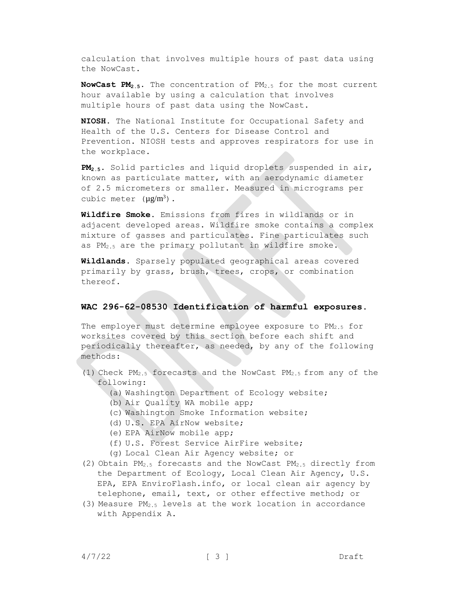calculation that involves multiple hours of past data using the NowCast.

**NowCast PM2.5.** The concentration of PM2.5 for the most current hour available by using a calculation that involves multiple hours of past data using the NowCast.

**NIOSH.** The National Institute for Occupational Safety and Health of the U.S. Centers for Disease Control and Prevention. NIOSH tests and approves respirators for use in the workplace.

**PM2.5.** Solid particles and liquid droplets suspended in air, known as particulate matter, with an aerodynamic diameter of 2.5 micrometers or smaller. Measured in micrograms per cubic meter  $(\mu g/m^3)$ .

**Wildfire Smoke.** Emissions from fires in wildlands or in adjacent developed areas. Wildfire smoke contains a complex mixture of gasses and particulates. Fine particulates such as PM2.5 are the primary pollutant in wildfire smoke.

**Wildlands.** Sparsely populated geographical areas covered primarily by grass, brush, trees, crops, or combination thereof.

#### <span id="page-2-0"></span>**WAC 296-62-08530 Identification of harmful exposures.**

The employer must determine employee exposure to PM<sub>2.5</sub> for worksites covered by this section before each shift and periodically thereafter, as needed, by any of the following methods:

- (1) Check PM2.5 forecasts and the NowCast PM2.5 from any of the following:
	- (a) Washington Department of Ecology website;
	- (b) Air Quality WA mobile app;
	- (c) Washington Smoke Information website;
	- (d) U.S. EPA AirNow website;
	- (e) EPA AirNow mobile app;
	- (f) U.S. Forest Service AirFire website;
	- (g) Local Clean Air Agency website; or
- (2) Obtain  $PM_{2.5}$  forecasts and the NowCast  $PM_{2.5}$  directly from the Department of Ecology, Local Clean Air Agency, U.S. EPA, EPA EnviroFlash.info, or local clean air agency by telephone, email, text, or other effective method; or
- (3) Measure  $PM_{2.5}$  levels at the work location in accordance with Appendix A.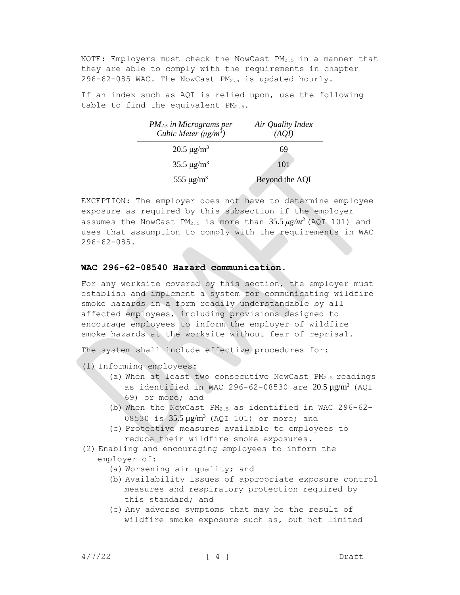NOTE: Employers must check the NowCast  $PM_{2.5}$  in a manner that they are able to comply with the requirements in chapter 296-62-085 WAC. The NowCast  $PM_{2.5}$  is updated hourly.

If an index such as AQI is relied upon, use the following table to find the equivalent  $PM_{2.5}$ .

| PM <sub>2.5</sub> in Micrograms per<br>Cubic Meter $(\mu g/m^3)$ | Air Quality Index<br>(AOI) |
|------------------------------------------------------------------|----------------------------|
| $20.5 \,\mathrm{\mu g/m^3}$                                      | 69                         |
| $35.5 \,\mathrm{\mu g/m^3}$                                      | 101                        |
| 555 $\mu$ g/m <sup>3</sup>                                       | Beyond the AQI             |

EXCEPTION: The employer does not have to determine employee exposure as required by this subsection if the employer assumes the NowCast PM2.5 is more than 35.5 *μg/m<sup>3</sup>*(AQI 101) and uses that assumption to comply with the requirements in WAC 296-62-085.

#### <span id="page-3-0"></span>**WAC 296-62-08540 Hazard communication.**

For any worksite covered by this section, the employer must establish and implement a system for communicating wildfire smoke hazards in a form readily understandable by all affected employees, including provisions designed to encourage employees to inform the employer of wildfire smoke hazards at the worksite without fear of reprisal.

The system shall include effective procedures for:

- (1) Informing employees:
	- (a) When at least two consecutive NowCast PM2.5 readings as identified in WAC 296-62-08530 are  $20.5 \,\mathrm{\upmu g/m^3}$  (AQI 69) or more; and
	- (b) When the NowCast PM2.5 as identified in WAC 296-62- 08530 is  $35.5 \mu g/m^3$  (AQI 101) or more; and
	- (c) Protective measures available to employees to reduce their wildfire smoke exposures.
- (2) Enabling and encouraging employees to inform the employer of:
	- (a) Worsening air quality; and
	- (b) Availability issues of appropriate exposure control measures and respiratory protection required by this standard; and
	- (c) Any adverse symptoms that may be the result of wildfire smoke exposure such as, but not limited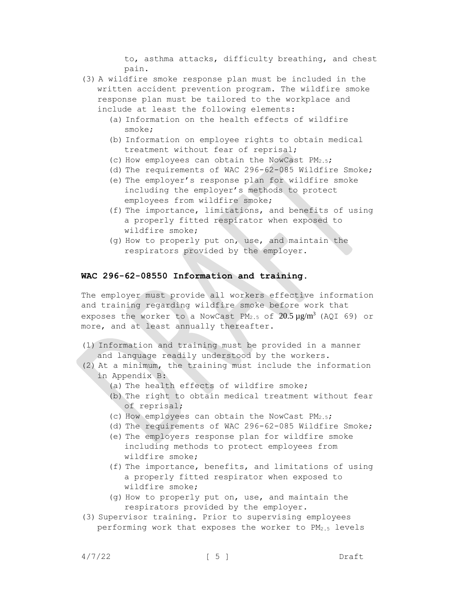to, asthma attacks, difficulty breathing, and chest pain.

- (3) A wildfire smoke response plan must be included in the written accident prevention program. The wildfire smoke response plan must be tailored to the workplace and include at least the following elements:
	- (a) Information on the health effects of wildfire smoke;
	- (b) Information on employee rights to obtain medical treatment without fear of reprisal;
	- (c) How employees can obtain the NowCast  $PM_{2.5}$ ;
	- (d) The requirements of WAC 296-62-085 Wildfire Smoke;
	- (e) The employer's response plan for wildfire smoke including the employer's methods to protect employees from wildfire smoke;
	- (f) The importance, limitations, and benefits of using a properly fitted respirator when exposed to wildfire smoke;
	- (g) How to properly put on, use, and maintain the respirators provided by the employer.

#### <span id="page-4-0"></span>**WAC 296-62-08550 Information and training.**

The employer must provide all workers effective information and training regarding wildfire smoke before work that exposes the worker to a NowCast PM<sub>2.5</sub> of  $20.5 \mu g/m^3$  (AQI 69) or more, and at least annually thereafter.

- (1) Information and training must be provided in a manner and language readily understood by the workers.
- (2) At a minimum, the training must include the information in Appendix B:
	- (a) The health effects of wildfire smoke;
	- (b) The right to obtain medical treatment without fear of reprisal;
	- (c) How employees can obtain the NowCast PM2.5;
	- (d) The requirements of WAC 296-62-085 Wildfire Smoke;
	- (e) The employers response plan for wildfire smoke including methods to protect employees from wildfire smoke;
	- (f) The importance, benefits, and limitations of using a properly fitted respirator when exposed to wildfire smoke;
	- (g) How to properly put on, use, and maintain the respirators provided by the employer.
- (3) Supervisor training. Prior to supervising employees performing work that exposes the worker to  $PM_{2.5}$  levels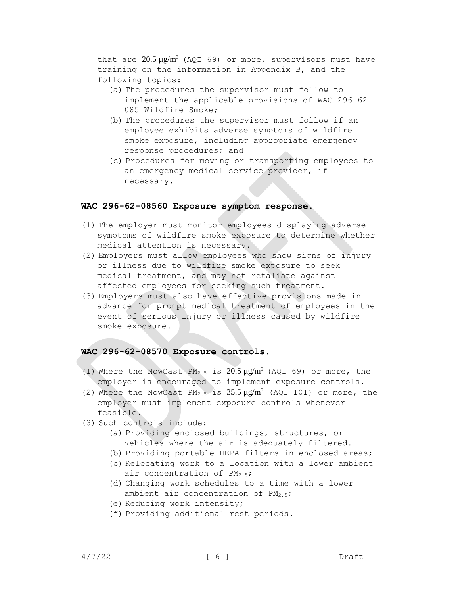that are  $20.5 \mu g/m^3$  (AQI 69) or more, supervisors must have training on the information in Appendix B, and the following topics:

- (a) The procedures the supervisor must follow to implement the applicable provisions of WAC 296-62- 085 Wildfire Smoke;
- (b) The procedures the supervisor must follow if an employee exhibits adverse symptoms of wildfire smoke exposure, including appropriate emergency response procedures; and
- (c) Procedures for moving or transporting employees to an emergency medical service provider, if necessary.

## <span id="page-5-0"></span>**WAC 296-62-08560 Exposure symptom response.**

- (1) The employer must monitor employees displaying adverse symptoms of wildfire smoke exposure to determine whether medical attention is necessary.
- (2) Employers must allow employees who show signs of injury or illness due to wildfire smoke exposure to seek medical treatment, and may not retaliate against affected employees for seeking such treatment.
- (3) Employers must also have effective provisions made in advance for prompt medical treatment of employees in the event of serious injury or illness caused by wildfire smoke exposure.

### <span id="page-5-1"></span>**WAC 296-62-08570 Exposure controls.**

- (1) Where the NowCast  $PM_{2.5}$  is  $20.5 \,\mu\text{g/m}^3$  (AQI 69) or more, the employer is encouraged to implement exposure controls.
- (2) Where the NowCast PM<sub>2.5</sub> is  $35.5 \,\mu g/m^3$  (AQI 101) or more, the employer must implement exposure controls whenever feasible.
- (3) Such controls include:
	- (a) Providing enclosed buildings, structures, or vehicles where the air is adequately filtered.
	- (b) Providing portable HEPA filters in enclosed areas;
	- (c) Relocating work to a location with a lower ambient air concentration of PM<sub>2.5</sub>;
	- (d) Changing work schedules to a time with a lower ambient air concentration of  $PM_{2.5}$ ;
	- (e) Reducing work intensity;
	- (f) Providing additional rest periods.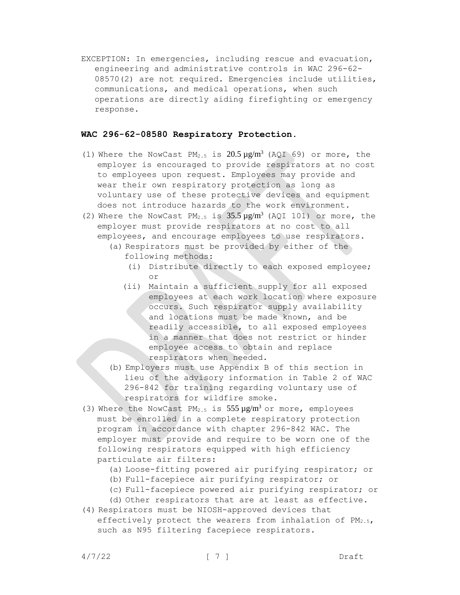EXCEPTION: In emergencies, including rescue and evacuation, engineering and administrative controls in WAC 296-62- 08570(2) are not required. Emergencies include utilities, communications, and medical operations, when such operations are directly aiding firefighting or emergency response.

#### <span id="page-6-0"></span>**WAC 296-62-08580 Respiratory Protection.**

- (1) Where the NowCast  $PM_{2.5}$  is  $20.5 \,\mu g/m^3$  (AQI 69) or more, the employer is encouraged to provide respirators at no cost to employees upon request. Employees may provide and wear their own respiratory protection as long as voluntary use of these protective devices and equipment does not introduce hazards to the work environment.
- (2) Where the NowCast  $PM_{2.5}$  is  $35.5 \mu g/m^3$  (AQI 101) or more, the employer must provide respirators at no cost to all employees, and encourage employees to use respirators.
	- (a) Respirators must be provided by either of the following methods:
		- (i) Distribute directly to each exposed employee; or
		- (ii) Maintain a sufficient supply for all exposed employees at each work location where exposure occurs. Such respirator supply availability and locations must be made known, and be readily accessible, to all exposed employees in a manner that does not restrict or hinder employee access to obtain and replace respirators when needed.
	- (b) Employers must use Appendix B of this section in lieu of the advisory information in Table 2 of WAC 296-842 for training regarding voluntary use of respirators for wildfire smoke.
- (3) Where the NowCast  $PM_{2.5}$  is  $555 \mu g/m^3$  or more, employees must be enrolled in a complete respiratory protection program in accordance with chapter 296-842 WAC. The employer must provide and require to be worn one of the following respirators equipped with high efficiency particulate air filters:
	- (a) Loose-fitting powered air purifying respirator; or
	- (b) Full-facepiece air purifying respirator; or
	- (c) Full-facepiece powered air purifying respirator; or
	- (d) Other respirators that are at least as effective.
- (4) Respirators must be NIOSH-approved devices that effectively protect the wearers from inhalation of PM<sub>2.5</sub>, such as N95 filtering facepiece respirators.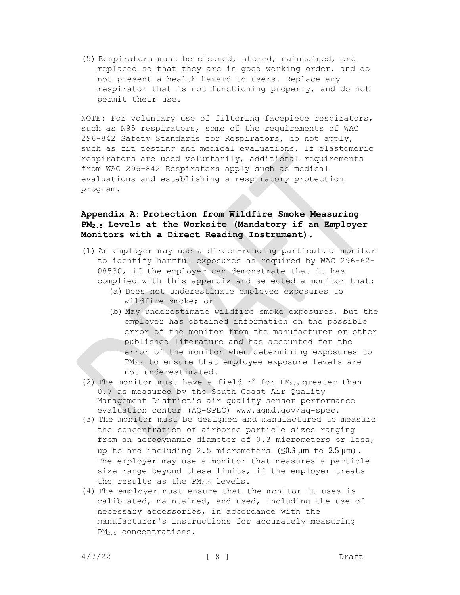(5) Respirators must be cleaned, stored, maintained, and replaced so that they are in good working order, and do not present a health hazard to users. Replace any respirator that is not functioning properly, and do not permit their use.

NOTE: For voluntary use of filtering facepiece respirators, such as N95 respirators, some of the requirements of WAC 296-842 Safety Standards for Respirators, do not apply, such as fit testing and medical evaluations. If elastomeric respirators are used voluntarily, additional requirements from WAC 296-842 Respirators apply such as medical evaluations and establishing a respiratory protection program.

## <span id="page-7-0"></span>**Appendix A: Protection from Wildfire Smoke Measuring PM2.5 Levels at the Worksite (Mandatory if an Employer Monitors with a Direct Reading Instrument).**

- (1) An employer may use a direct-reading particulate monitor to identify harmful exposures as required by WAC 296-62- 08530, if the employer can demonstrate that it has complied with this appendix and selected a monitor that:
	- (a) Does not underestimate employee exposures to wildfire smoke; or
	- (b) May underestimate wildfire smoke exposures, but the employer has obtained information on the possible error of the monitor from the manufacturer or other published literature and has accounted for the error of the monitor when determining exposures to PM<sub>2.5</sub> to ensure that employee exposure levels are not underestimated.
- (2) The monitor must have a field  $r^2$  for  $PM_{2.5}$  greater than 0.7 as measured by the South Coast Air Quality Management District's air quality sensor performance evaluation center (AQ-SPEC) www.aqmd.gov/aq-spec.
- (3) The monitor must be designed and manufactured to measure the concentration of airborne particle sizes ranging from an aerodynamic diameter of 0.3 micrometers or less, up to and including 2.5 micrometers  $(\leq 0.3 \,\mu\text{m}$  to  $2.5 \,\mu\text{m}$ ). The employer may use a monitor that measures a particle size range beyond these limits, if the employer treats the results as the  $PM_{2.5}$  levels.
- (4) The employer must ensure that the monitor it uses is calibrated, maintained, and used, including the use of necessary accessories, in accordance with the manufacturer's instructions for accurately measuring PM2.5 concentrations.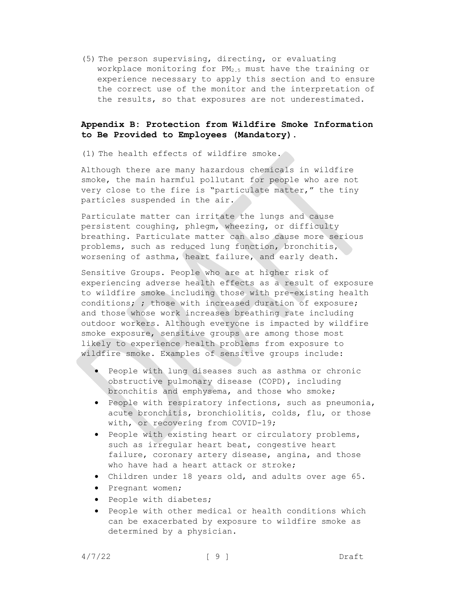(5) The person supervising, directing, or evaluating workplace monitoring for PM<sub>2.5</sub> must have the training or experience necessary to apply this section and to ensure the correct use of the monitor and the interpretation of the results, so that exposures are not underestimated.

## <span id="page-8-0"></span>**Appendix B: Protection from Wildfire Smoke Information to Be Provided to Employees (Mandatory).**

(1) The health effects of wildfire smoke.

Although there are many hazardous chemicals in wildfire smoke, the main harmful pollutant for people who are not very close to the fire is "particulate matter," the tiny particles suspended in the air.

Particulate matter can irritate the lungs and cause persistent coughing, phlegm, wheezing, or difficulty breathing. Particulate matter can also cause more serious problems, such as reduced lung function, bronchitis, worsening of asthma, heart failure, and early death.

Sensitive Groups. People who are at higher risk of experiencing adverse health effects as a result of exposure to wildfire smoke including those with pre-existing health conditions; ; those with increased duration of exposure; and those whose work increases breathing rate including outdoor workers. Although everyone is impacted by wildfire smoke exposure, sensitive groups are among those most likely to experience health problems from exposure to wildfire smoke. Examples of sensitive groups include:

- People with lung diseases such as asthma or chronic obstructive pulmonary disease (COPD), including bronchitis and emphysema, and those who smoke;
- People with respiratory infections, such as pneumonia, acute bronchitis, bronchiolitis, colds, flu, or those with, or recovering from COVID-19;
- People with existing heart or circulatory problems, such as irregular heart beat, congestive heart failure, coronary artery disease, angina, and those who have had a heart attack or stroke;
- Children under 18 years old, and adults over age 65.
- Pregnant women;
- People with diabetes;
- People with other medical or health conditions which can be exacerbated by exposure to wildfire smoke as determined by a physician.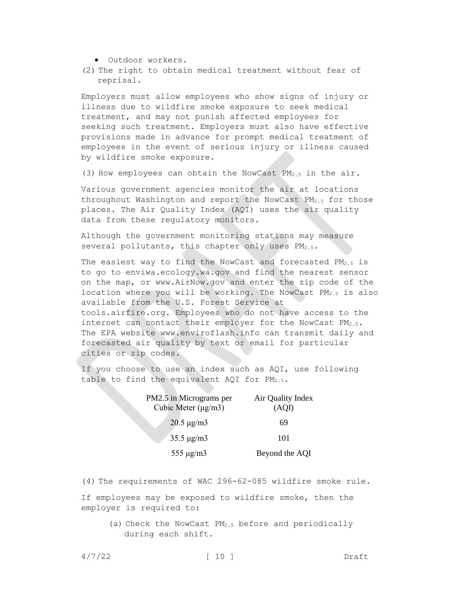- Outdoor workers.
- (2) The right to obtain medical treatment without fear of reprisal.

Employers must allow employees who show signs of injury or illness due to wildfire smoke exposure to seek medical treatment, and may not punish affected employees for seeking such treatment. Employers must also have effective provisions made in advance for prompt medical treatment of employees in the event of serious injury or illness caused by wildfire smoke exposure.

(3) How employees can obtain the NowCast PM2.5 in the air.

Various government agencies monitor the air at locations throughout Washington and report the NowCast PM2.5 for those places. The Air Quality Index (AQI) uses the air quality data from these regulatory monitors.

Although the government monitoring stations may measure several pollutants, this chapter only uses PM<sub>2.5</sub>.

The easiest way to find the NowCast and forecasted PM<sub>2.5</sub> is to go to enviwa.ecology.wa.gov and find the nearest sensor on the map, or www.AirNow.gov and enter the zip code of the location where you will be working. The NowCast  $PM_{2.5}$  is also available from the U.S. Forest Service at tools.airfire.org. Employees who do not have access to the internet can contact their employer for the NowCast PM<sub>2.5</sub>. The EPA website www.enviroflash.info can transmit daily and forecasted air quality by text or email for particular cities or zip codes.

If you choose to use an index such as AQI, use following table to find the equivalent AQI for PM2.5.

| PM2.5 in Micrograms per<br>Cubic Meter $(\mu g/m3)$ | Air Quality Index<br>(AOI) |  |
|-----------------------------------------------------|----------------------------|--|
| $20.5 \,\mu g/m3$                                   | 69                         |  |
| $35.5 \,\mu g/m3$                                   | 101                        |  |
| 555 $\mu$ g/m3                                      | Beyond the AQI             |  |

(4) The requirements of WAC 296-62-085 wildfire smoke rule.

If employees may be exposed to wildfire smoke, then the employer is required to:

> (a) Check the NowCast PM2.5 before and periodically during each shift.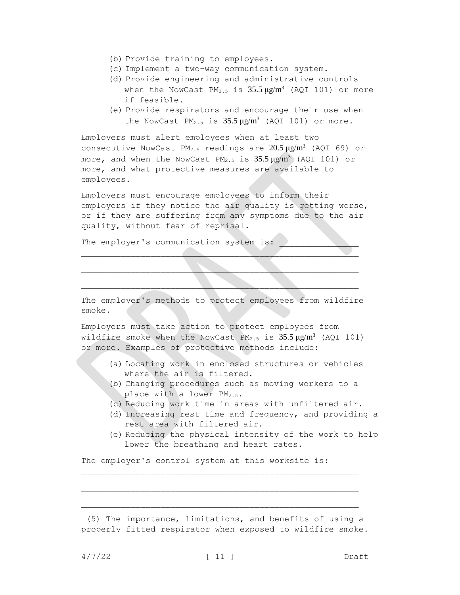- (b) Provide training to employees.
- (c) Implement a two-way communication system.
- (d) Provide engineering and administrative controls when the NowCast PM<sub>2.5</sub> is  $35.5 \mu g/m^3$  (AQI 101) or more if feasible.
- (e) Provide respirators and encourage their use when the NowCast  $PM_{2.5}$  is  $35.5 \mu g/m^3$  (AQI 101) or more.

Employers must alert employees when at least two consecutive NowCast  $PM_{2.5}$  readings are  $20.5 \,\mu g/m^3$  (AQI 69) or more, and when the NowCast PM<sub>2.5</sub> is  $35.5 \,\mu g/m^3$  (AQI 101) or more, and what protective measures are available to employees.

Employers must encourage employees to inform their employers if they notice the air quality is getting worse, or if they are suffering from any symptoms due to the air quality, without fear of reprisal.

The employer's communication system is:

The employer's methods to protect employees from wildfire smoke.

 $\mathcal{L} = \{ \mathcal{L} \mid \mathcal{L} \in \mathcal{L} \}$ 

 $\mathcal{L}_\mathcal{A}$  and the contribution of the contribution of the contribution of the contribution of the contribution of

 $\mathcal{L}_\mathcal{L} = \mathcal{L}_\mathcal{L} = \mathcal{L}_\mathcal{L} = \mathcal{L}_\mathcal{L} = \mathcal{L}_\mathcal{L} = \mathcal{L}_\mathcal{L} = \mathcal{L}_\mathcal{L} = \mathcal{L}_\mathcal{L} = \mathcal{L}_\mathcal{L} = \mathcal{L}_\mathcal{L} = \mathcal{L}_\mathcal{L} = \mathcal{L}_\mathcal{L} = \mathcal{L}_\mathcal{L} = \mathcal{L}_\mathcal{L} = \mathcal{L}_\mathcal{L} = \mathcal{L}_\mathcal{L} = \mathcal{L}_\mathcal{L}$ 

Employers must take action to protect employees from wildfire smoke when the NowCast  $PM_{2.5}$  is  $35.5 \,\mu\text{g/m}^3$  (AQI 101) or more. Examples of protective methods include:

- (a) Locating work in enclosed structures or vehicles where the air is filtered.
- (b) Changing procedures such as moving workers to a place with a lower PM<sub>2.5</sub>.
- (c) Reducing work time in areas with unfiltered air.
- (d) Increasing rest time and frequency, and providing a rest area with filtered air.
- (e) Reducing the physical intensity of the work to help lower the breathing and heart rates.

The employer's control system at this worksite is:

<sup>(5)</sup> The importance, limitations, and benefits of using a properly fitted respirator when exposed to wildfire smoke.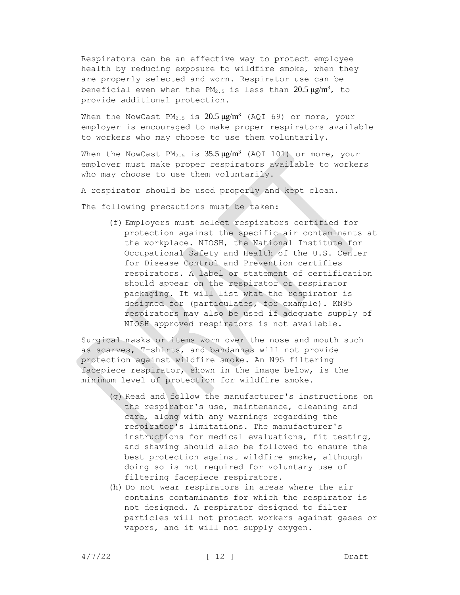Respirators can be an effective way to protect employee health by reducing exposure to wildfire smoke, when they are properly selected and worn. Respirator use can be beneficial even when the PM<sub>2.5</sub> is less than  $20.5 \mu g/m^3$ , to provide additional protection.

When the NowCast  $PM_{2.5}$  is  $20.5 \mu g/m^3$  (AQI 69) or more, your employer is encouraged to make proper respirators available to workers who may choose to use them voluntarily.

When the NowCast PM<sub>2.5</sub> is  $35.5 \,\mu g/m^3$  (AQI 101) or more, your employer must make proper respirators available to workers who may choose to use them voluntarily.

A respirator should be used properly and kept clean.

The following precautions must be taken:

(f) Employers must select respirators certified for protection against the specific air contaminants at the workplace. NIOSH, the National Institute for Occupational Safety and Health of the U.S. Center for Disease Control and Prevention certifies respirators. A label or statement of certification should appear on the respirator or respirator packaging. It will list what the respirator is designed for (particulates, for example). KN95 respirators may also be used if adequate supply of NIOSH approved respirators is not available.

Surgical masks or items worn over the nose and mouth such as scarves, T-shirts, and bandannas will not provide protection against wildfire smoke. An N95 filtering facepiece respirator, shown in the image below, is the minimum level of protection for wildfire smoke.

- (g) Read and follow the manufacturer's instructions on the respirator's use, maintenance, cleaning and care, along with any warnings regarding the respirator's limitations. The manufacturer's instructions for medical evaluations, fit testing, and shaving should also be followed to ensure the best protection against wildfire smoke, although doing so is not required for voluntary use of filtering facepiece respirators.
- (h) Do not wear respirators in areas where the air contains contaminants for which the respirator is not designed. A respirator designed to filter particles will not protect workers against gases or vapors, and it will not supply oxygen.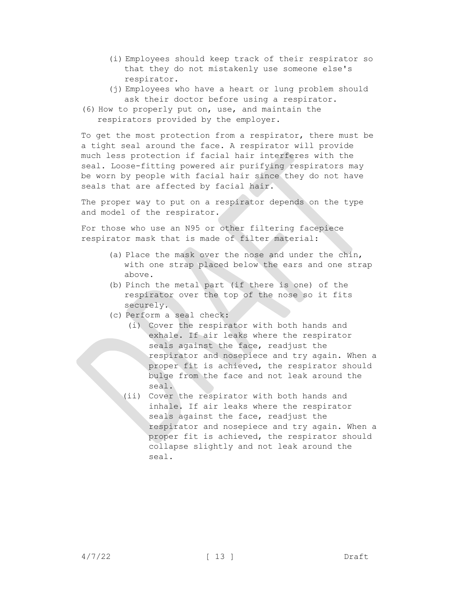- (i) Employees should keep track of their respirator so that they do not mistakenly use someone else's respirator.
- (i) Employees who have a heart or lung problem should ask their doctor before using a respirator.
- (6) How to properly put on, use, and maintain the respirators provided by the employer.

To get the most protection from a respirator, there must be a tight seal around the face. A respirator will provide much less protection if facial hair interferes with the seal. Loose-fitting powered air purifying respirators may be worn by people with facial hair since they do not have seals that are affected by facial hair.

The proper way to put on a respirator depends on the type and model of the respirator.

For those who use an N95 or other filtering facepiece respirator mask that is made of filter material:

- (a) Place the mask over the nose and under the chin, with one strap placed below the ears and one strap above.
- (b) Pinch the metal part (if there is one) of the respirator over the top of the nose so it fits securely.
- (c) Perform a seal check:
	- (i) Cover the respirator with both hands and exhale. If air leaks where the respirator seals against the face, readjust the respirator and nosepiece and try again. When a proper fit is achieved, the respirator should bulge from the face and not leak around the seal.
	- (ii) Cover the respirator with both hands and inhale. If air leaks where the respirator seals against the face, readjust the respirator and nosepiece and try again. When a proper fit is achieved, the respirator should collapse slightly and not leak around the seal.